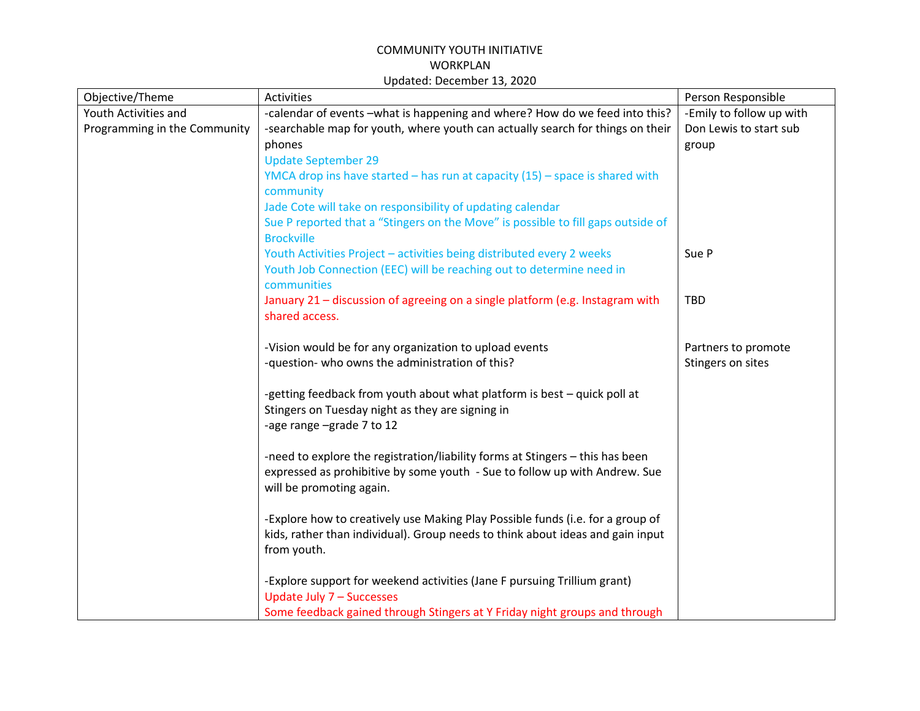| Objective/Theme              | Activities                                                                                            | Person Responsible       |
|------------------------------|-------------------------------------------------------------------------------------------------------|--------------------------|
| Youth Activities and         | -calendar of events -what is happening and where? How do we feed into this?                           | -Emily to follow up with |
| Programming in the Community | -searchable map for youth, where youth can actually search for things on their                        | Don Lewis to start sub   |
|                              | phones                                                                                                | group                    |
|                              | <b>Update September 29</b>                                                                            |                          |
|                              | YMCA drop ins have started $-$ has run at capacity $(15)$ $-$ space is shared with<br>community       |                          |
|                              | Jade Cote will take on responsibility of updating calendar                                            |                          |
|                              | Sue P reported that a "Stingers on the Move" is possible to fill gaps outside of<br><b>Brockville</b> |                          |
|                              | Youth Activities Project - activities being distributed every 2 weeks                                 | Sue P                    |
|                              | Youth Job Connection (EEC) will be reaching out to determine need in<br>communities                   |                          |
|                              | January 21 - discussion of agreeing on a single platform (e.g. Instagram with                         | <b>TBD</b>               |
|                              | shared access.                                                                                        |                          |
|                              |                                                                                                       |                          |
|                              | -Vision would be for any organization to upload events                                                | Partners to promote      |
|                              | -question- who owns the administration of this?                                                       | Stingers on sites        |
|                              |                                                                                                       |                          |
|                              | -getting feedback from youth about what platform is best - quick poll at                              |                          |
|                              | Stingers on Tuesday night as they are signing in                                                      |                          |
|                              | -age range -grade 7 to 12                                                                             |                          |
|                              |                                                                                                       |                          |
|                              | -need to explore the registration/liability forms at Stingers - this has been                         |                          |
|                              | expressed as prohibitive by some youth - Sue to follow up with Andrew. Sue                            |                          |
|                              | will be promoting again.                                                                              |                          |
|                              |                                                                                                       |                          |
|                              | -Explore how to creatively use Making Play Possible funds (i.e. for a group of                        |                          |
|                              | kids, rather than individual). Group needs to think about ideas and gain input                        |                          |
|                              | from youth.                                                                                           |                          |
|                              |                                                                                                       |                          |
|                              | -Explore support for weekend activities (Jane F pursuing Trillium grant)                              |                          |
|                              | Update July 7 - Successes                                                                             |                          |
|                              | Some feedback gained through Stingers at Y Friday night groups and through                            |                          |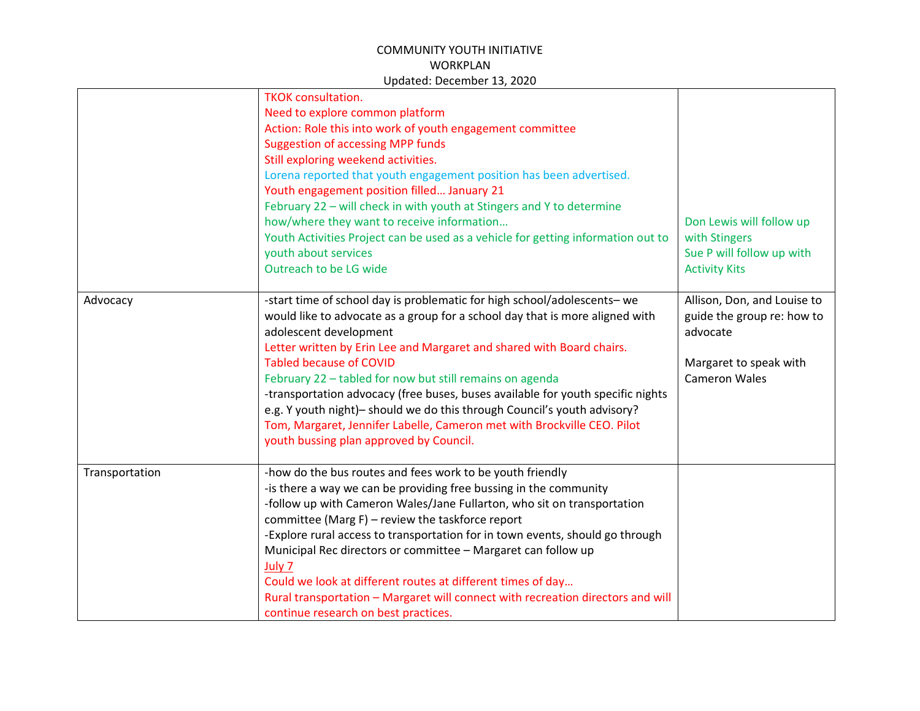|                | <b>TKOK</b> consultation.<br>Need to explore common platform<br>Action: Role this into work of youth engagement committee<br><b>Suggestion of accessing MPP funds</b><br>Still exploring weekend activities.<br>Lorena reported that youth engagement position has been advertised.<br>Youth engagement position filled January 21<br>February 22 - will check in with youth at Stingers and Y to determine<br>how/where they want to receive information<br>Youth Activities Project can be used as a vehicle for getting information out to<br>youth about services<br>Outreach to be LG wide                                                | Don Lewis will follow up<br>with Stingers<br>Sue P will follow up with<br><b>Activity Kits</b>                          |
|----------------|------------------------------------------------------------------------------------------------------------------------------------------------------------------------------------------------------------------------------------------------------------------------------------------------------------------------------------------------------------------------------------------------------------------------------------------------------------------------------------------------------------------------------------------------------------------------------------------------------------------------------------------------|-------------------------------------------------------------------------------------------------------------------------|
| Advocacy       | -start time of school day is problematic for high school/adolescents- we<br>would like to advocate as a group for a school day that is more aligned with<br>adolescent development<br>Letter written by Erin Lee and Margaret and shared with Board chairs.<br><b>Tabled because of COVID</b><br>February 22 - tabled for now but still remains on agenda<br>-transportation advocacy (free buses, buses available for youth specific nights<br>e.g. Y youth night)- should we do this through Council's youth advisory?<br>Tom, Margaret, Jennifer Labelle, Cameron met with Brockville CEO. Pilot<br>youth bussing plan approved by Council. | Allison, Don, and Louise to<br>guide the group re: how to<br>advocate<br>Margaret to speak with<br><b>Cameron Wales</b> |
| Transportation | -how do the bus routes and fees work to be youth friendly<br>-is there a way we can be providing free bussing in the community<br>-follow up with Cameron Wales/Jane Fullarton, who sit on transportation<br>committee (Marg F) - review the taskforce report<br>-Explore rural access to transportation for in town events, should go through<br>Municipal Rec directors or committee - Margaret can follow up<br>July 7<br>Could we look at different routes at different times of day<br>Rural transportation - Margaret will connect with recreation directors and will<br>continue research on best practices.                            |                                                                                                                         |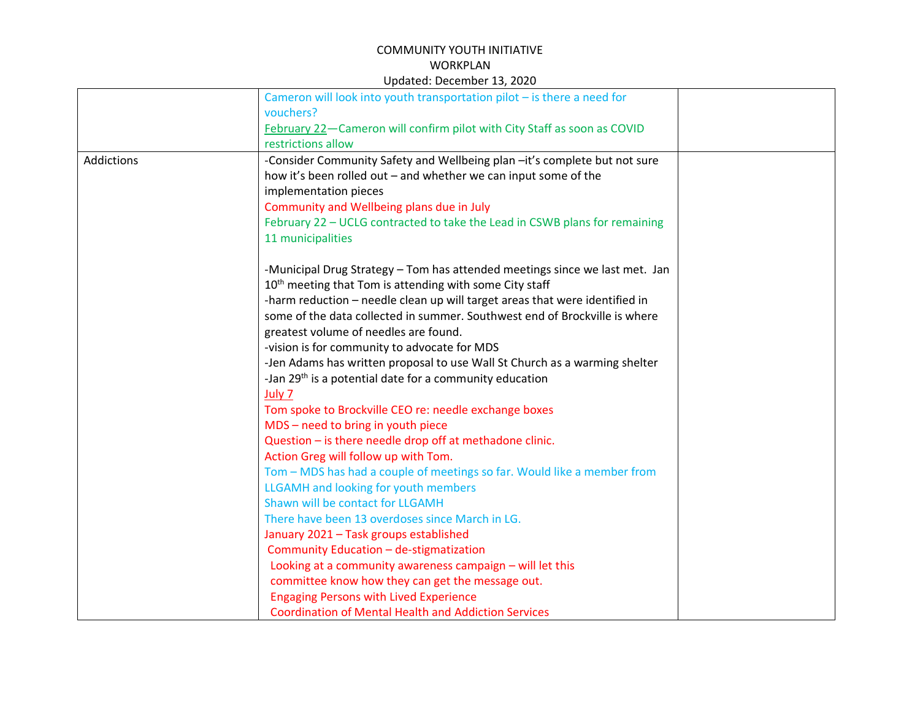|                   | Cameron will look into youth transportation pilot $-$ is there a need for   |
|-------------------|-----------------------------------------------------------------------------|
|                   | vouchers?                                                                   |
|                   | February 22-Cameron will confirm pilot with City Staff as soon as COVID     |
|                   | restrictions allow                                                          |
| <b>Addictions</b> | -Consider Community Safety and Wellbeing plan -it's complete but not sure   |
|                   | how it's been rolled out - and whether we can input some of the             |
|                   | implementation pieces                                                       |
|                   | Community and Wellbeing plans due in July                                   |
|                   | February 22 - UCLG contracted to take the Lead in CSWB plans for remaining  |
|                   | 11 municipalities                                                           |
|                   | -Municipal Drug Strategy - Tom has attended meetings since we last met. Jan |
|                   | 10 <sup>th</sup> meeting that Tom is attending with some City staff         |
|                   | -harm reduction - needle clean up will target areas that were identified in |
|                   | some of the data collected in summer. Southwest end of Brockville is where  |
|                   | greatest volume of needles are found.                                       |
|                   | -vision is for community to advocate for MDS                                |
|                   | -Jen Adams has written proposal to use Wall St Church as a warming shelter  |
|                   | -Jan 29 <sup>th</sup> is a potential date for a community education         |
|                   | July 7                                                                      |
|                   | Tom spoke to Brockville CEO re: needle exchange boxes                       |
|                   | MDS - need to bring in youth piece                                          |
|                   | Question - is there needle drop off at methadone clinic.                    |
|                   | Action Greg will follow up with Tom.                                        |
|                   | Tom - MDS has had a couple of meetings so far. Would like a member from     |
|                   | LLGAMH and looking for youth members                                        |
|                   | Shawn will be contact for LLGAMH                                            |
|                   | There have been 13 overdoses since March in LG.                             |
|                   | January 2021 - Task groups established                                      |
|                   | Community Education - de-stigmatization                                     |
|                   | Looking at a community awareness campaign - will let this                   |
|                   | committee know how they can get the message out.                            |
|                   | <b>Engaging Persons with Lived Experience</b>                               |
|                   | <b>Coordination of Mental Health and Addiction Services</b>                 |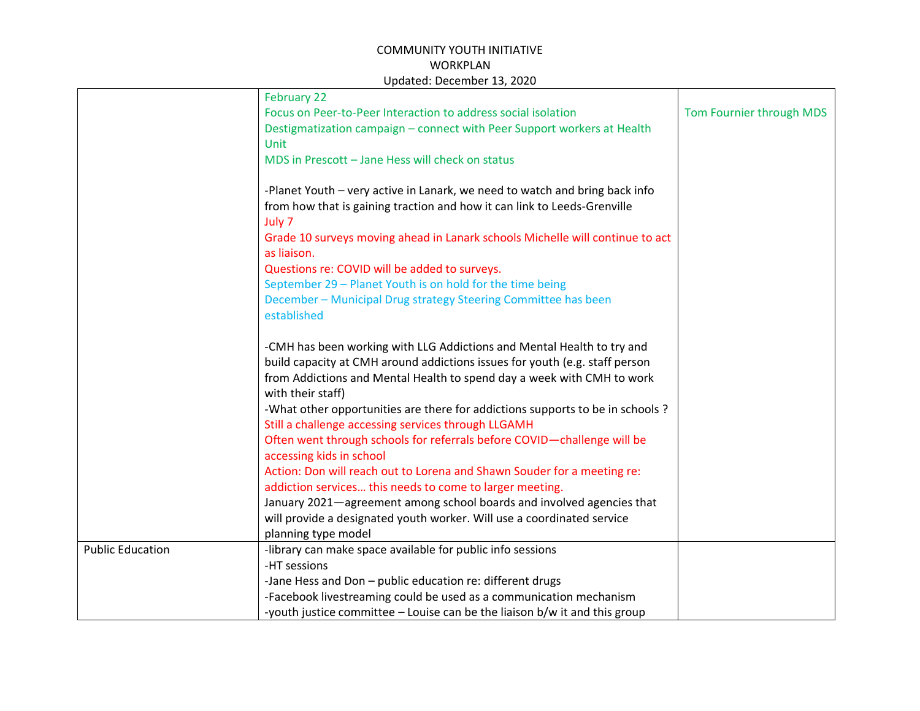|                         | February 22                                                                                 |                          |
|-------------------------|---------------------------------------------------------------------------------------------|--------------------------|
|                         | Focus on Peer-to-Peer Interaction to address social isolation                               | Tom Fournier through MDS |
|                         | Destigmatization campaign - connect with Peer Support workers at Health                     |                          |
|                         | Unit                                                                                        |                          |
|                         | MDS in Prescott - Jane Hess will check on status                                            |                          |
|                         |                                                                                             |                          |
|                         | -Planet Youth - very active in Lanark, we need to watch and bring back info                 |                          |
|                         | from how that is gaining traction and how it can link to Leeds-Grenville                    |                          |
|                         | July 7                                                                                      |                          |
|                         | Grade 10 surveys moving ahead in Lanark schools Michelle will continue to act               |                          |
|                         | as liaison.                                                                                 |                          |
|                         | Questions re: COVID will be added to surveys.                                               |                          |
|                         | September 29 - Planet Youth is on hold for the time being                                   |                          |
|                         | December - Municipal Drug strategy Steering Committee has been                              |                          |
|                         | established                                                                                 |                          |
|                         |                                                                                             |                          |
|                         | -CMH has been working with LLG Addictions and Mental Health to try and                      |                          |
|                         | build capacity at CMH around addictions issues for youth (e.g. staff person                 |                          |
|                         | from Addictions and Mental Health to spend day a week with CMH to work<br>with their staff) |                          |
|                         | -What other opportunities are there for addictions supports to be in schools ?              |                          |
|                         | Still a challenge accessing services through LLGAMH                                         |                          |
|                         | Often went through schools for referrals before COVID-challenge will be                     |                          |
|                         | accessing kids in school                                                                    |                          |
|                         | Action: Don will reach out to Lorena and Shawn Souder for a meeting re:                     |                          |
|                         | addiction services this needs to come to larger meeting.                                    |                          |
|                         | January 2021-agreement among school boards and involved agencies that                       |                          |
|                         | will provide a designated youth worker. Will use a coordinated service                      |                          |
|                         | planning type model                                                                         |                          |
| <b>Public Education</b> | -library can make space available for public info sessions                                  |                          |
|                         | -HT sessions                                                                                |                          |
|                         | -Jane Hess and Don - public education re: different drugs                                   |                          |
|                         | -Facebook livestreaming could be used as a communication mechanism                          |                          |
|                         | -youth justice committee – Louise can be the liaison b/w it and this group                  |                          |